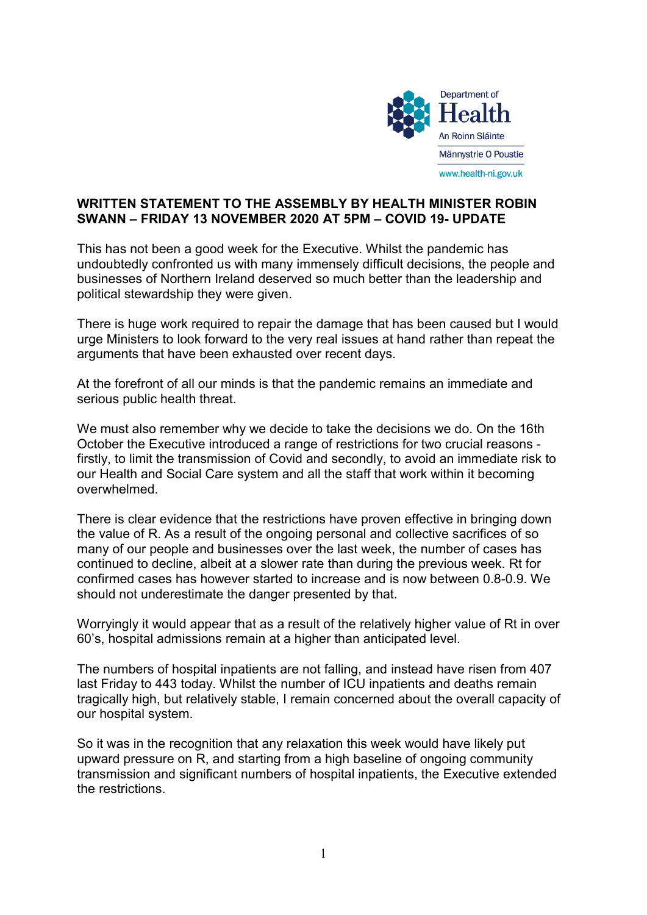

## WRITTEN STATEMENT TO THE ASSEMBLY BY HEALTH MINISTER ROBIN SWANN – FRIDAY 13 NOVEMBER 2020 AT 5PM – COVID 19- UPDATE

This has not been a good week for the Executive. Whilst the pandemic has undoubtedly confronted us with many immensely difficult decisions, the people and businesses of Northern Ireland deserved so much better than the leadership and political stewardship they were given.

There is huge work required to repair the damage that has been caused but I would urge Ministers to look forward to the very real issues at hand rather than repeat the arguments that have been exhausted over recent days.

At the forefront of all our minds is that the pandemic remains an immediate and serious public health threat.

We must also remember why we decide to take the decisions we do. On the 16th October the Executive introduced a range of restrictions for two crucial reasons firstly, to limit the transmission of Covid and secondly, to avoid an immediate risk to our Health and Social Care system and all the staff that work within it becoming overwhelmed.

There is clear evidence that the restrictions have proven effective in bringing down the value of R. As a result of the ongoing personal and collective sacrifices of so many of our people and businesses over the last week, the number of cases has continued to decline, albeit at a slower rate than during the previous week. Rt for confirmed cases has however started to increase and is now between 0.8-0.9. We should not underestimate the danger presented by that.

Worryingly it would appear that as a result of the relatively higher value of Rt in over 60's, hospital admissions remain at a higher than anticipated level.

The numbers of hospital inpatients are not falling, and instead have risen from 407 last Friday to 443 today. Whilst the number of ICU inpatients and deaths remain tragically high, but relatively stable, I remain concerned about the overall capacity of our hospital system.

So it was in the recognition that any relaxation this week would have likely put upward pressure on R, and starting from a high baseline of ongoing community transmission and significant numbers of hospital inpatients, the Executive extended the restrictions.